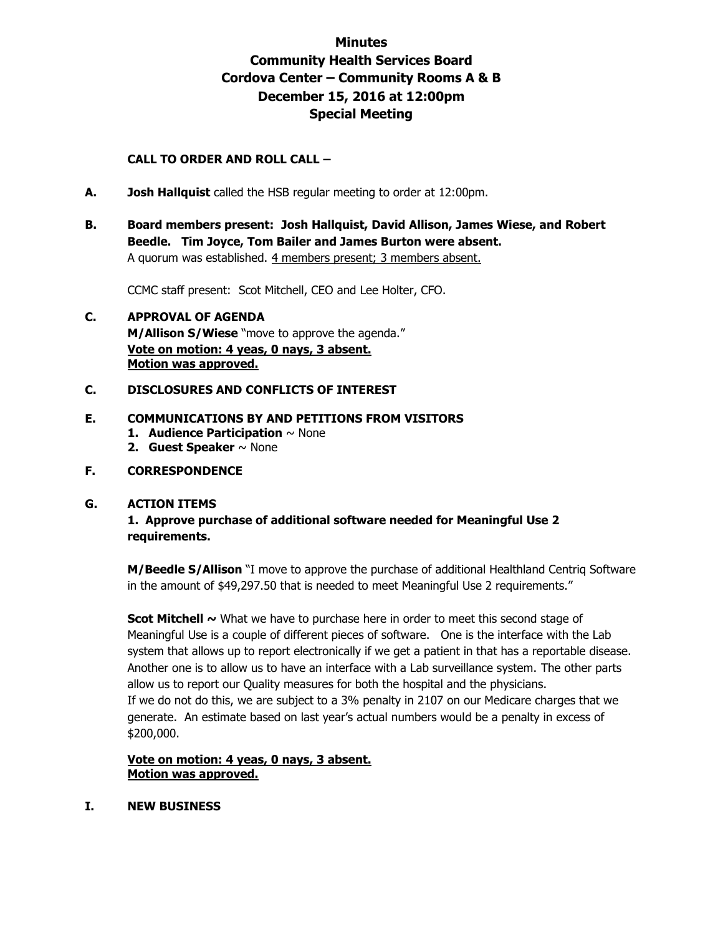# **Minutes Community Health Services Board Cordova Center – Community Rooms A & B December 15, 2016 at 12:00pm Special Meeting**

## **CALL TO ORDER AND ROLL CALL –**

- **A. Josh Hallquist** called the HSB regular meeting to order at 12:00pm.
- **B. Board members present: Josh Hallquist, David Allison, James Wiese, and Robert Beedle. Tim Joyce, Tom Bailer and James Burton were absent.**  A quorum was established. 4 members present; 3 members absent.

CCMC staff present: Scot Mitchell, CEO and Lee Holter, CFO.

## **C. APPROVAL OF AGENDA M/Allison S/Wiese** "move to approve the agenda." **Vote on motion: 4 yeas, 0 nays, 3 absent. Motion was approved.**

## **C. DISCLOSURES AND CONFLICTS OF INTEREST**

#### **E. COMMUNICATIONS BY AND PETITIONS FROM VISITORS**

- **1. Audience Participation** ~ None
- **2. Guest Speaker** ~ None

#### **F. CORRESPONDENCE**

#### **G. ACTION ITEMS**

## **1. Approve purchase of additional software needed for Meaningful Use 2 requirements.**

**M/Beedle S/Allison** "I move to approve the purchase of additional Healthland Centriq Software in the amount of \$49,297.50 that is needed to meet Meaningful Use 2 requirements."

**Scot Mitchell ~** What we have to purchase here in order to meet this second stage of Meaningful Use is a couple of different pieces of software. One is the interface with the Lab system that allows up to report electronically if we get a patient in that has a reportable disease. Another one is to allow us to have an interface with a Lab surveillance system. The other parts allow us to report our Quality measures for both the hospital and the physicians. If we do not do this, we are subject to a 3% penalty in 2107 on our Medicare charges that we generate. An estimate based on last year's actual numbers would be a penalty in excess of \$200,000.

#### **Vote on motion: 4 yeas, 0 nays, 3 absent. Motion was approved.**

**I. NEW BUSINESS**